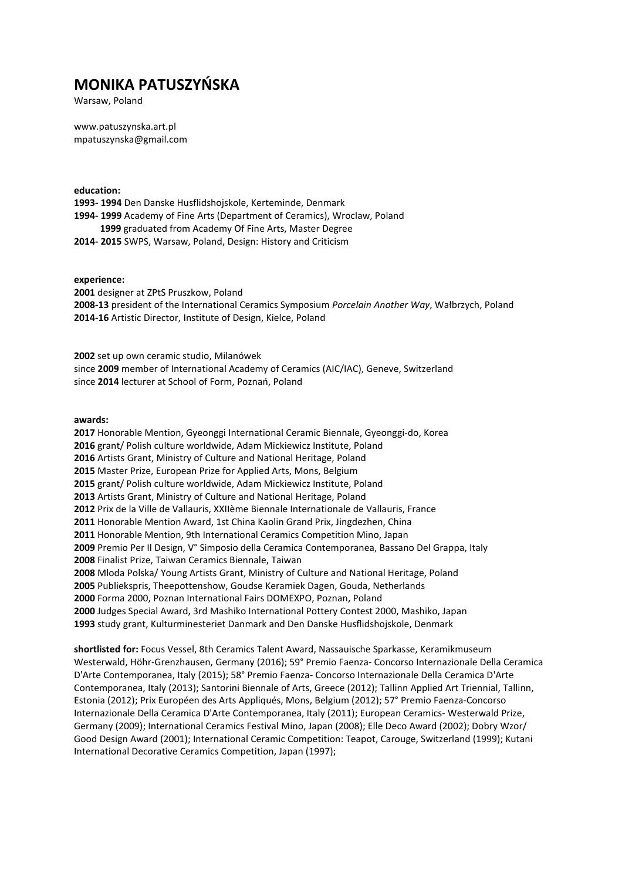# **MONIKA PATUSZYŃSKA**

Warsaw, Poland

www.patuszynska.art.pl mpatuszynska@gmail.com

**education:** 

**1993- 1994** Den Danske Husflidshojskole, Kerteminde, Denmark

**1994- 1999** Academy of Fine Arts (Department of Ceramics), Wroclaw, Poland

**1999** graduated from Academy Of Fine Arts, Master Degree

**2014- 2015** SWPS, Warsaw, Poland, Design: History and Criticism

**experience:** 

**2001** designer at ZPtS Pruszkow, Poland **2008-13** president of the International Ceramics Symposium *Porcelain Another Way*, Wałbrzych, Poland

**2014-16** Artistic Director, Institute of Design, Kielce, Poland

**2002** set up own ceramic studio, Milanówek since **2009** member of International Academy of Ceramics (AIC/IAC), Geneve, Switzerland since **2014** lecturer at School of Form, Poznań, Poland

### **awards:**

 Honorable Mention, Gyeonggi International Ceramic Biennale, Gyeonggi-do, Korea grant/ Polish culture worldwide, Adam Mickiewicz Institute, Poland Artists Grant, Ministry of Culture and National Heritage, Poland Master Prize, European Prize for Applied Arts, Mons, Belgium grant/ Polish culture worldwide, Adam Mickiewicz Institute, Poland Artists Grant, Ministry of Culture and National Heritage, Poland Prix de la Ville de Vallauris, XXIIème Biennale Internationale de Vallauris, France Honorable Mention Award, 1st China Kaolin Grand Prix, Jingdezhen, China Honorable Mention, 9th International Ceramics Competition Mino, Japan Premio Per Il Design, V° Simposio della Ceramica Contemporanea, Bassano Del Grappa, Italy Finalist Prize, Taiwan Ceramics Biennale, Taiwan Mloda Polska/ Young Artists Grant, Ministry of Culture and National Heritage, Poland Publiekspris, Theepottenshow, Goudse Keramiek Dagen, Gouda, Netherlands Forma 2000, Poznan International Fairs DOMEXPO, Poznan, Poland Judges Special Award, 3rd Mashiko International Pottery Contest 2000, Mashiko, Japan study grant, Kulturminesteriet Danmark and Den Danske Husflidshojskole, Denmark

**shortlisted for:** Focus Vessel, 8th Ceramics Talent Award, Nassauische Sparkasse, Keramikmuseum Westerwald, Höhr-Grenzhausen, Germany (2016); 59° Premio Faenza- Concorso Internazionale Della Ceramica D'Arte Contemporanea, Italy (2015); 58° Premio Faenza- Concorso Internazionale Della Ceramica D'Arte Contemporanea, Italy (2013); Santorini Biennale of Arts, Greece (2012); Tallinn Applied Art Triennial, Tallinn, Estonia (2012); Prix Européen des Arts Appliqués, Mons, Belgium (2012); 57° Premio Faenza-Concorso Internazionale Della Ceramica D'Arte Contemporanea, Italy (2011); European Ceramics- Westerwald Prize, Germany (2009); International Ceramics Festival Mino, Japan (2008); Elle Deco Award (2002); Dobry Wzor/ Good Design Award (2001); International Ceramic Competition: Teapot, Carouge, Switzerland (1999); Kutani International Decorative Ceramics Competition, Japan (1997);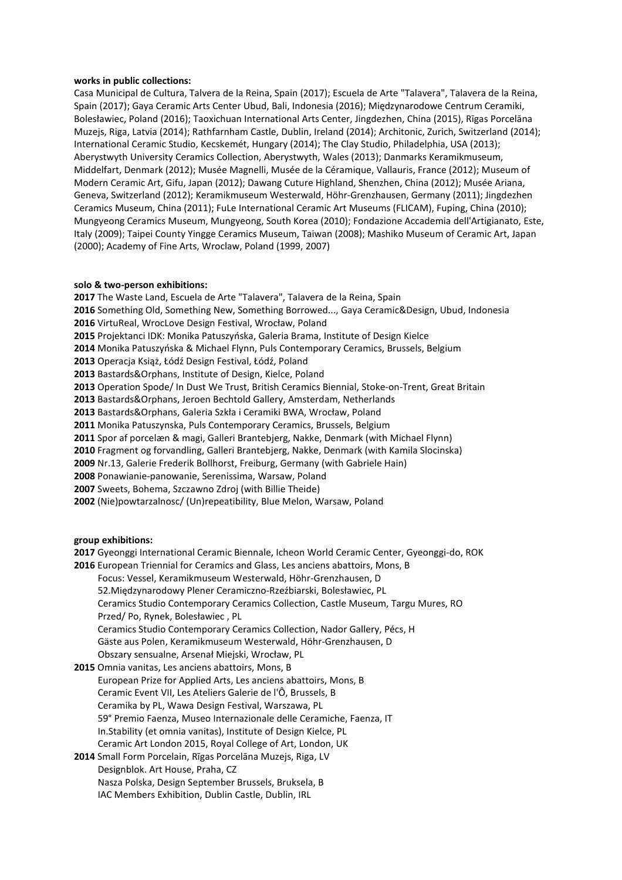#### **works in public collections:**

Casa Municipal de Cultura, Talvera de la Reina, Spain (2017); Escuela de Arte "Talavera", Talavera de la Reina, Spain (2017); Gaya Ceramic Arts Center Ubud, Bali, Indonesia (2016); Międzynarodowe Centrum Ceramiki, Bolesławiec, Poland (2016); Taoxichuan International Arts Center, Jingdezhen, China (2015), Rīgas Porcelāna Muzejs, Riga, Latvia (2014); Rathfarnham Castle, Dublin, Ireland (2014); Architonic, Zurich, Switzerland (2014); International Ceramic Studio, Kecskemét, Hungary (2014); The Clay Studio, Philadelphia, USA (2013); Aberystwyth University Ceramics Collection, Aberystwyth, Wales (2013); Danmarks Keramikmuseum, Middelfart, Denmark (2012); Musée Magnelli, Musée de la Céramique, Vallauris, France (2012); Museum of Modern Ceramic Art, Gifu, Japan (2012); Dawang Cuture Highland, Shenzhen, China (2012); Musée Ariana, Geneva, Switzerland (2012); Keramikmuseum Westerwald, Höhr-Grenzhausen, Germany (2011); Jingdezhen Ceramics Museum, China (2011); FuLe International Ceramic Art Museums (FLICAM), Fuping, China (2010); Mungyeong Ceramics Museum, Mungyeong, South Korea (2010); Fondazione Accademia dell'Artigianato, Este, Italy (2009); Taipei County Yingge Ceramics Museum, Taiwan (2008); Mashiko Museum of Ceramic Art, Japan (2000); Academy of Fine Arts, Wroclaw, Poland (1999, 2007)

#### **solo & two-person exhibitions:**

 The Waste Land, Escuela de Arte "Talavera", Talavera de la Reina, Spain Something Old, Something New, Something Borrowed..., Gaya Ceramic&Design, Ubud, Indonesia VirtuReal, WrocLove Design Festival, Wrocław, Poland Projektanci IDK: Monika Patuszyńska, Galeria Brama, Institute of Design Kielce Monika Patuszyńska & Michael Flynn, Puls Contemporary Ceramics, Brussels, Belgium Operacja Książ, Łódź Design Festival, Łódź, Poland Bastards&Orphans, Institute of Design, Kielce, Poland Operation Spode/ In Dust We Trust, British Ceramics Biennial, Stoke-on-Trent, Great Britain Bastards&Orphans, Jeroen Bechtold Gallery, Amsterdam, Netherlands Bastards&Orphans, Galeria Szkła i Ceramiki BWA, Wrocław, Poland Monika Patuszynska, Puls Contemporary Ceramics, Brussels, Belgium Spor af porcelæn & magi, Galleri Brantebjerg, Nakke, Denmark (with Michael Flynn) Fragment og forvandling, Galleri Brantebjerg, Nakke, Denmark (with Kamila Slocinska) Nr.13, Galerie Frederik Bollhorst, Freiburg, Germany (with Gabriele Hain) Ponawianie-panowanie, Serenissima, Warsaw, Poland Sweets, Bohema, Szczawno Zdroj (with Billie Theide) (Nie)powtarzalnosc/ (Un)repeatibility, Blue Melon, Warsaw, Poland

#### **group exhibitions:**

**2017** Gyeonggi International Ceramic Biennale, Icheon World Ceramic Center, Gyeonggi-do, ROK

**2016** European Triennial for Ceramics and Glass, Les anciens abattoirs, Mons, B Focus: Vessel, Keramikmuseum Westerwald, Höhr-Grenzhausen, D

52.Międzynarodowy Plener Ceramiczno-Rzeźbiarski, Bolesławiec, PL

 Ceramics Studio Contemporary Ceramics Collection, Castle Museum, Targu Mures, RO Przed/ Po, Rynek, Bolesławiec , PL

Ceramics Studio Contemporary Ceramics Collection, Nador Gallery, Pécs, H

Gäste aus Polen, Keramikmuseum Westerwald, Höhr-Grenzhausen, D

Obszary sensualne, Arsenał Miejski, Wrocław, PL

**2015** Omnia vanitas, Les anciens abattoirs, Mons, B European Prize for Applied Arts, Les anciens abattoirs, Mons, B Ceramic Event VII, Les Ateliers Galerie de l'Ô, Brussels, B Ceramika by PL, Wawa Design Festival, Warszawa, PL 59° Premio Faenza, Museo Internazionale delle Ceramiche, Faenza, IT In.Stability (et omnia vanitas), Institute of Design Kielce, PL Ceramic Art London 2015, Royal College of Art, London, UK

**2014** Small Form Porcelain, Rīgas Porcelāna Muzejs, Riga, LV Designblok. Art House, Praha, CZ Nasza Polska, Design September Brussels, Bruksela, B IAC Members Exhibition, Dublin Castle, Dublin, IRL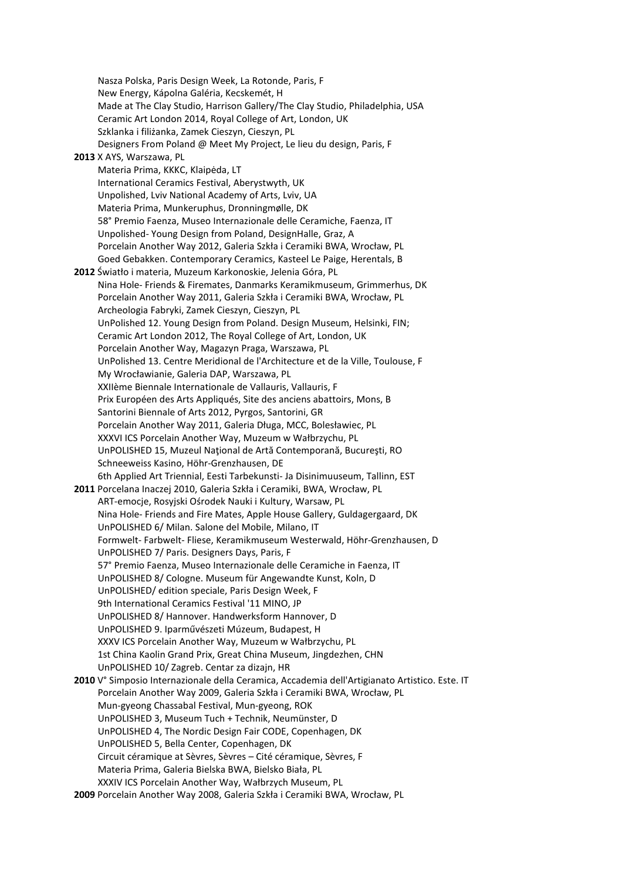Nasza Polska, Paris Design Week, La Rotonde, Paris, F New Energy, Kápolna Galéria, Kecskemét, H Made at The Clay Studio, Harrison Gallery/The Clay Studio, Philadelphia, USA Ceramic Art London 2014, Royal College of Art, London, UK Szklanka i filiżanka, Zamek Cieszyn, Cieszyn, PL Designers From Poland @ Meet My Project, Le lieu du design, Paris, F **2013** X AYS, Warszawa, PL Materia Prima, KKKC, Klaipėda, LT International Ceramics Festival, Aberystwyth, UK Unpolished, Lviv National Academy of Arts, Lviv, UA Materia Prima, Munkeruphus, Dronningmølle, DK 58° Premio Faenza, Museo Internazionale delle Ceramiche, Faenza, IT Unpolished- Young Design from Poland, DesignHalle, Graz, A Porcelain Another Way 2012, Galeria Szkła i Ceramiki BWA, Wrocław, PL Goed Gebakken. Contemporary Ceramics, Kasteel Le Paige, Herentals, B **2012** Światło i materia, Muzeum Karkonoskie, Jelenia Góra, PL Nina Hole- Friends & Firemates, Danmarks Keramikmuseum, Grimmerhus, DK Porcelain Another Way 2011, Galeria Szkła i Ceramiki BWA, Wrocław, PL Archeologia Fabryki, Zamek Cieszyn, Cieszyn, PL UnPolished 12. Young Design from Poland. Design Museum, Helsinki, FIN; Ceramic Art London 2012, The Royal College of Art, London, UK Porcelain Another Way, Magazyn Praga, Warszawa, PL UnPolished 13. Centre Meridional de l'Architecture et de la Ville, Toulouse, F My Wrocławianie, Galeria DAP, Warszawa, PL XXIIème Biennale Internationale de Vallauris, Vallauris, F Prix Européen des Arts Appliqués, Site des anciens abattoirs, Mons, B Santorini Biennale of Arts 2012, Pyrgos, Santorini, GR Porcelain Another Way 2011, Galeria Długa, MCC, Bolesławiec, PL XXXVI ICS Porcelain Another Way, Muzeum w Wałbrzychu, PL UnPOLISHED 15, Muzeul Naţional de Artă Contemporană, Bucureşti, RO Schneeweiss Kasino, Höhr-Grenzhausen, DE 6th Applied Art Triennial, Eesti Tarbekunsti- Ja Disinimuuseum, Tallinn, EST **2011** Porcelana Inaczej 2010, Galeria Szkła i Ceramiki, BWA, Wrocław, PL ART-emocje, Rosyjski Ośrodek Nauki i Kultury, Warsaw, PL Nina Hole- Friends and Fire Mates, Apple House Gallery, Guldagergaard, DK UnPOLISHED 6/ Milan. Salone del Mobile, Milano, IT Formwelt- Farbwelt- Fliese, Keramikmuseum Westerwald, Höhr-Grenzhausen, D UnPOLISHED 7/ Paris. Designers Days, Paris, F 57° Premio Faenza, Museo Internazionale delle Ceramiche in Faenza, IT UnPOLISHED 8/ Cologne. Museum für Angewandte Kunst, Koln, D UnPOLISHED/ edition speciale, Paris Design Week, F 9th International Ceramics Festival '11 MINO, JP UnPOLISHED 8/ Hannover. Handwerksform Hannover, D UnPOLISHED 9. Iparművészeti Múzeum, Budapest, H XXXV ICS Porcelain Another Way, Muzeum w Wałbrzychu, PL 1st China Kaolin Grand Prix, Great China Museum, Jingdezhen, CHN UnPOLISHED 10/ Zagreb. Centar za dizajn, HR **2010** V° Simposio Internazionale della Ceramica, Accademia dell'Artigianato Artistico. Este. IT Porcelain Another Way 2009, Galeria Szkła i Ceramiki BWA, Wrocław, PL Mun-gyeong Chassabal Festival, Mun-gyeong, ROK UnPOLISHED 3, Museum Tuch + Technik, Neumünster, D UnPOLISHED 4, The Nordic Design Fair CODE, Copenhagen, DK UnPOLISHED 5, Bella Center, Copenhagen, DK Circuit céramique at Sèvres, Sèvres – Cité céramique, Sèvres, F Materia Prima, Galeria Bielska BWA, Bielsko Biała, PL XXXIV ICS Porcelain Another Way, Wałbrzych Museum, PL **2009** Porcelain Another Way 2008, Galeria Szkła i Ceramiki BWA, Wrocław, PL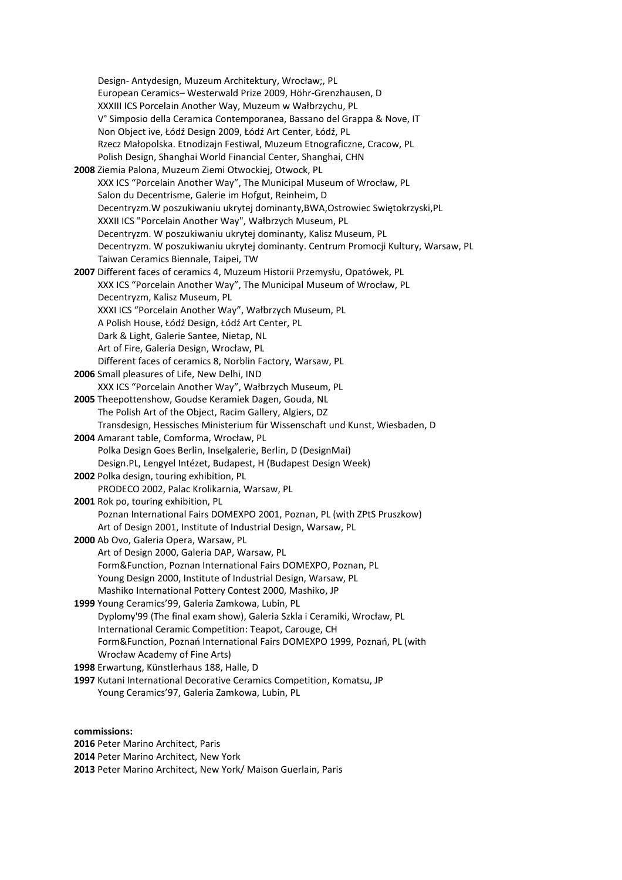Design- Antydesign, Muzeum Architektury, Wrocław;, PL European Ceramics– Westerwald Prize 2009, Höhr-Grenzhausen, D XXXIII ICS Porcelain Another Way, Muzeum w Wałbrzychu, PL V° Simposio della Ceramica Contemporanea, Bassano del Grappa & Nove, IT Non Object ive, Łódź Design 2009, Łódź Art Center, Łódź, PL Rzecz Małopolska. Etnodizajn Festiwal, Muzeum Etnograficzne, Cracow, PL Polish Design, Shanghai World Financial Center, Shanghai, CHN **2008** Ziemia Palona, Muzeum Ziemi Otwockiej, Otwock, PL XXX ICS "Porcelain Another Way", The Municipal Museum of Wrocław, PL Salon du Decentrisme, Galerie im Hofgut, Reinheim, D Decentryzm.W poszukiwaniu ukrytej dominanty,BWA,Ostrowiec Swiętokrzyski,PL XXXII ICS "Porcelain Another Way", Wałbrzych Museum, PL Decentryzm. W poszukiwaniu ukrytej dominanty, Kalisz Museum, PL Decentryzm. W poszukiwaniu ukrytej dominanty. Centrum Promocji Kultury, Warsaw, PL Taiwan Ceramics Biennale, Taipei, TW **2007** Different faces of ceramics 4, Muzeum Historii Przemysłu, Opatówek, PL XXX ICS "Porcelain Another Way", The Municipal Museum of Wrocław, PL Decentryzm, Kalisz Museum, PL XXXI ICS "Porcelain Another Way", Wałbrzych Museum, PL A Polish House, Łódź Design, Łódź Art Center, PL Dark & Light, Galerie Santee, Nietap, NL Art of Fire, Galeria Design, Wrocław, PL Different faces of ceramics 8, Norblin Factory, Warsaw, PL **2006** Small pleasures of Life, New Delhi, IND XXX ICS "Porcelain Another Way", Wałbrzych Museum, PL **2005** Theepottenshow, Goudse Keramiek Dagen, Gouda, NL The Polish Art of the Object, Racim Gallery, Algiers, DZ Transdesign, Hessisches Ministerium für Wissenschaft und Kunst, Wiesbaden, D **2004** Amarant table, Comforma, Wrocław, PL Polka Design Goes Berlin, Inselgalerie, Berlin, D (DesignMai) Design.PL, Lengyel Intézet, Budapest, H (Budapest Design Week) **2002** Polka design, touring exhibition, PL PRODECO 2002, Palac Krolikarnia, Warsaw, PL **2001** Rok po, touring exhibition, PL Poznan International Fairs DOMEXPO 2001, Poznan, PL (with ZPtS Pruszkow) Art of Design 2001, Institute of Industrial Design, Warsaw, PL **2000** Ab Ovo, Galeria Opera, Warsaw, PL Art of Design 2000, Galeria DAP, Warsaw, PL Form&Function, Poznan International Fairs DOMEXPO, Poznan, PL Young Design 2000, Institute of Industrial Design, Warsaw, PL Mashiko International Pottery Contest 2000, Mashiko, JP **1999** Young Ceramics'99, Galeria Zamkowa, Lubin, PL Dyplomy'99 (The final exam show), Galeria Szkla i Ceramiki, Wrocław, PL International Ceramic Competition: Teapot, Carouge, CH Form&Function, Poznań International Fairs DOMEXPO 1999, Poznań, PL (with Wrocław Academy of Fine Arts) **1998** Erwartung, Künstlerhaus 188, Halle, D **1997** Kutani International Decorative Ceramics Competition, Komatsu, JP Young Ceramics'97, Galeria Zamkowa, Lubin, PL

**commissions:** 

**2016** Peter Marino Architect, Paris **2014** Peter Marino Architect, New York **2013** Peter Marino Architect, New York/ Maison Guerlain, Paris